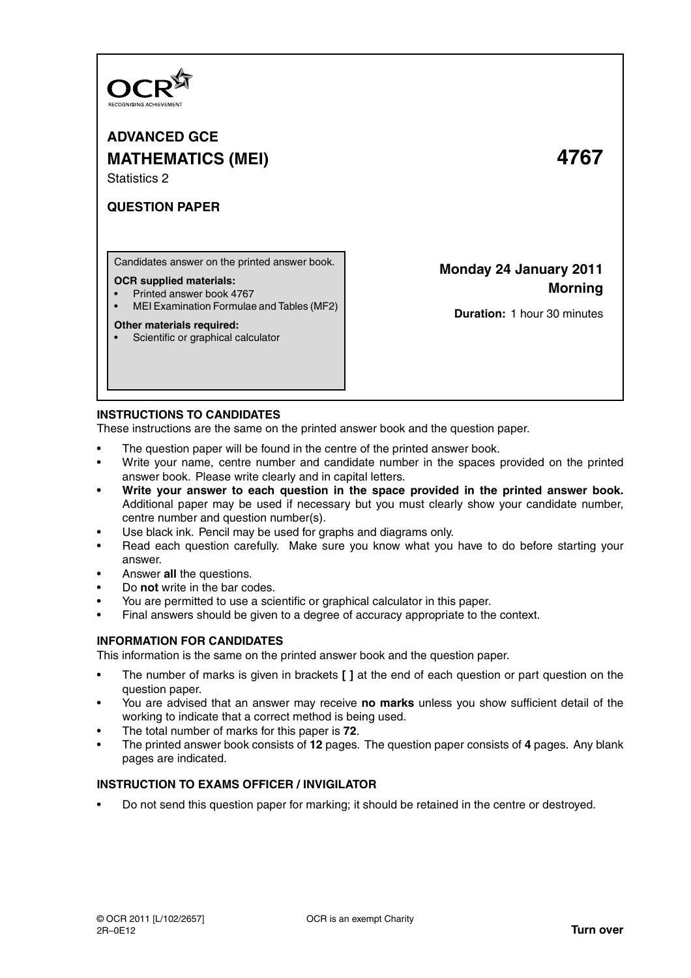

**ADVANCED GCE MATHEMATICS (MEI) 4767** Statistics 2

# **QUESTION PAPER**

Candidates answer on the printed answer book.

### **OCR supplied materials:**

- Printed answer book 4767
- MEI Examination Formulae and Tables (MF2)

### **Other materials required:**

• Scientific or graphical calculator

# **Monday 24 January 2011 Morning**

**Duration:** 1 hour 30 minutes

# **INSTRUCTIONS TO CANDIDATES**

These instructions are the same on the printed answer book and the question paper.

- The question paper will be found in the centre of the printed answer book.
- Write your name, centre number and candidate number in the spaces provided on the printed answer book. Please write clearly and in capital letters.
- **Write your answer to each question in the space provided in the printed answer book.** Additional paper may be used if necessary but you must clearly show your candidate number, centre number and question number(s).
- Use black ink. Pencil may be used for graphs and diagrams only.
- Read each question carefully. Make sure you know what you have to do before starting your answer.
- Answer **all** the questions.
- Do **not** write in the bar codes.
- You are permitted to use a scientific or graphical calculator in this paper.
- Final answers should be given to a degree of accuracy appropriate to the context.

# **INFORMATION FOR CANDIDATES**

This information is the same on the printed answer book and the question paper.

- The number of marks is given in brackets **[ ]** at the end of each question or part question on the question paper.
- You are advised that an answer may receive **no marks** unless you show sufficient detail of the working to indicate that a correct method is being used.
- The total number of marks for this paper is **72**.
- The printed answer book consists of **12** pages. The question paper consists of **4** pages. Any blank pages are indicated.

# **INSTRUCTION TO EXAMS OFFICER / INVIGILATOR**

• Do not send this question paper for marking; it should be retained in the centre or destroyed.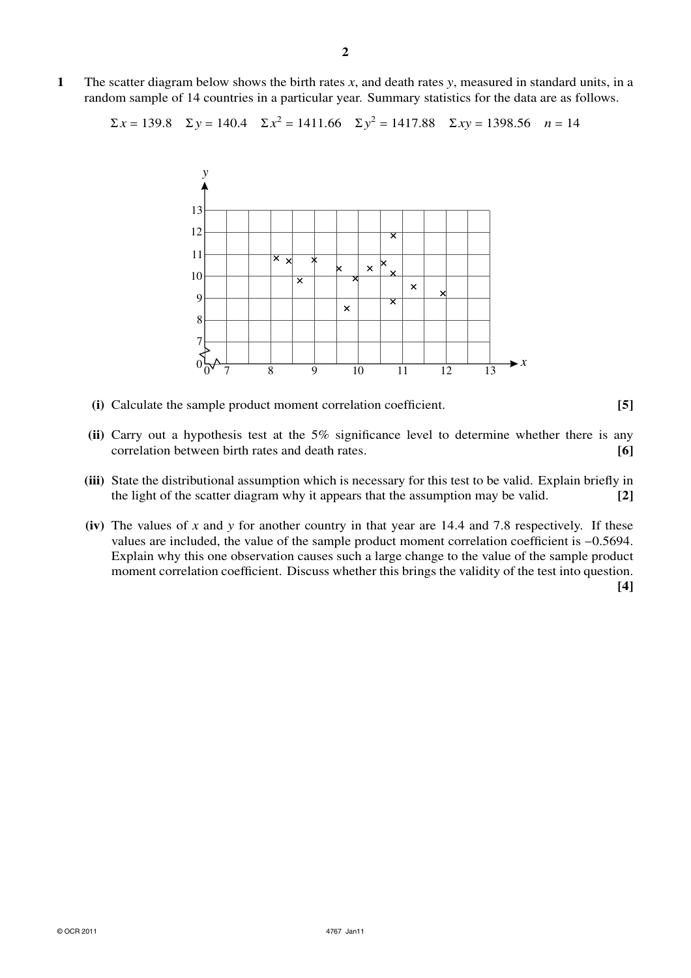**1** The scatter diagram below shows the birth rates *x*, and death rates *y*, measured in standard units, in a random sample of 14 countries in a particular year. Summary statistics for the data are as follows.

$$
\Sigma x = 139.8
$$
  $\Sigma y = 140.4$   $\Sigma x^2 = 1411.66$   $\Sigma y^2 = 1417.88$   $\Sigma xy = 1398.56$   $n = 14$ 



- **(i)** Calculate the sample product moment correlation coefficient. **[5]**
- **(ii)** Carry out a hypothesis test at the 5% significance level to determine whether there is any correlation between birth rates and death rates. **[6]**
- **(iii)** State the distributional assumption which is necessary for this test to be valid. Explain briefly in the light of the scatter diagram why it appears that the assumption may be valid. **[2]**
- **(iv)** The values of *x* and *y* for another country in that year are 14.4 and 7.8 respectively. If these values are included, the value of the sample product moment correlation coefficient is −0.5694. Explain why this one observation causes such a large change to the value of the sample product moment correlation coefficient. Discuss whether this brings the validity of the test into question.

**[4]**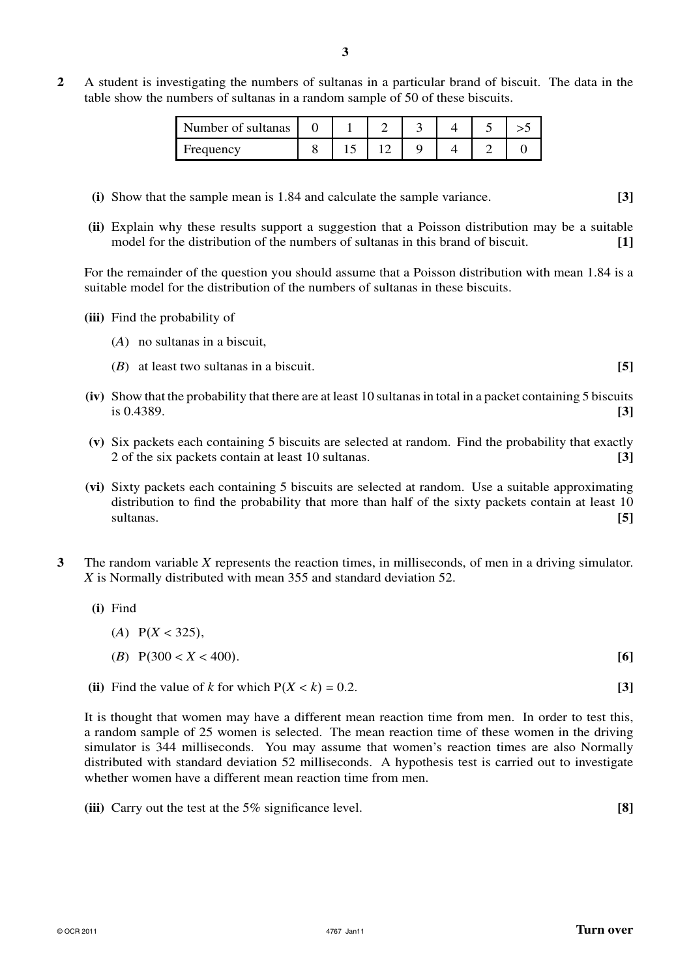**2** A student is investigating the numbers of sultanas in a particular brand of biscuit. The data in the table show the numbers of sultanas in a random sample of 50 of these biscuits.

| Number of sultanas |  |  |  |  |
|--------------------|--|--|--|--|
| Frequency          |  |  |  |  |

- **(i)** Show that the sample mean is 1.84 and calculate the sample variance. **[3]**
- **(ii)** Explain why these results support a suggestion that a Poisson distribution may be a suitable model for the distribution of the numbers of sultanas in this brand of biscuit. **[1]**

For the remainder of the question you should assume that a Poisson distribution with mean 1.84 is a suitable model for the distribution of the numbers of sultanas in these biscuits.

- **(iii)** Find the probability of
	- (*A*) no sultanas in a biscuit,
	- (*B*) at least two sultanas in a biscuit. **[5]**
- **(iv)** Show that the probability that there are at least 10 sultanasin total in a packet containing 5 biscuits is 0.4389. **[3]**
- **(v)** Six packets each containing 5 biscuits are selected at random. Find the probability that exactly 2 of the six packets contain at least 10 sultanas. **[3]**
- **(vi)** Sixty packets each containing 5 biscuits are selected at random. Use a suitable approximating distribution to find the probability that more than half of the sixty packets contain at least 10 sultanas. **[5]**
- **3** The random variable *X* represents the reaction times, in milliseconds, of men in a driving simulator. *X* is Normally distributed with mean 355 and standard deviation 52.
	- **(i)** Find
		- (*A*) P(*X* < 325), (*B*) P(300 < *X* < 400). **[6]**
	- **(ii)** Find the value of *k* for which  $P(X < k) = 0.2$ . **[3]**

It is thought that women may have a different mean reaction time from men. In order to test this, a random sample of 25 women is selected. The mean reaction time of these women in the driving simulator is 344 milliseconds. You may assume that women's reaction times are also Normally distributed with standard deviation 52 milliseconds. A hypothesis test is carried out to investigate whether women have a different mean reaction time from men.

**(iii)** Carry out the test at the 5% significance level. **[8]**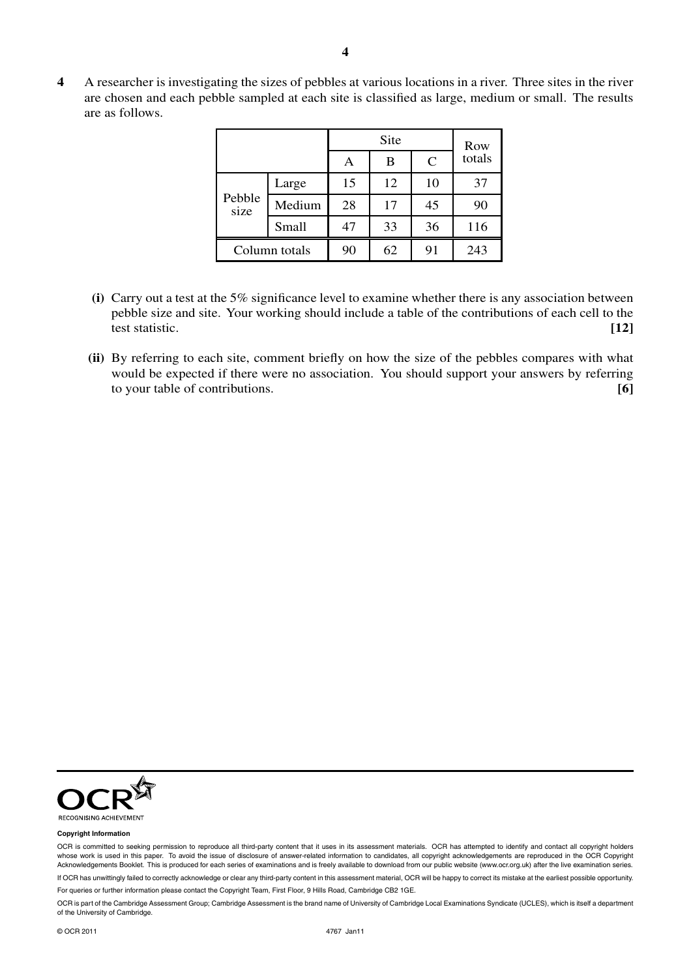**4** A researcher is investigating the sizes of pebbles at various locations in a river. Three sites in the river are chosen and each pebble sampled at each site is classified as large, medium or small. The results are as follows.

|                |        |    | Site |               | Row    |
|----------------|--------|----|------|---------------|--------|
|                |        | Α  | B    | $\mathcal{C}$ | totals |
|                | Large  | 15 | 12   | 10            | 37     |
| Pebble<br>size | Medium | 28 | 17   | 45            | 90     |
|                | Small  | 47 | 33   | 36            | 116    |
| Column totals  |        | 90 | 62   | 91            | 243    |

- **(i)** Carry out a test at the 5% significance level to examine whether there is any association between pebble size and site. Your working should include a table of the contributions of each cell to the test statistic. **[12]**
- **(ii)** By referring to each site, comment briefly on how the size of the pebbles compares with what would be expected if there were no association. You should support your answers by referring to your table of contributions. **[6]**



#### **Copyright Information**

OCR is committed to seeking permission to reproduce all third-party content that it uses in its assessment materials. OCR has attempted to identify and contact all copyright holders whose work is used in this paper. To avoid the issue of disclosure of answer-related information to candidates, all copyright acknowledgements are reproduced in the OCR Copyright Acknowledgements Booklet. This is produced for each series of examinations and is freely available to download from our public website (www.ocr.org.uk) after the live examination series.

If OCR has unwittingly failed to correctly acknowledge or clear any third-party content in this assessment material, OCR will be happy to correct its mistake at the earliest possible opportunity.

For queries or further information please contact the Copyright Team, First Floor, 9 Hills Road, Cambridge CB2 1GE.

OCR is part of the Cambridge Assessment Group; Cambridge Assessment is the brand name of University of Cambridge Local Examinations Syndicate (UCLES), which is itself a department of the University of Cambridge.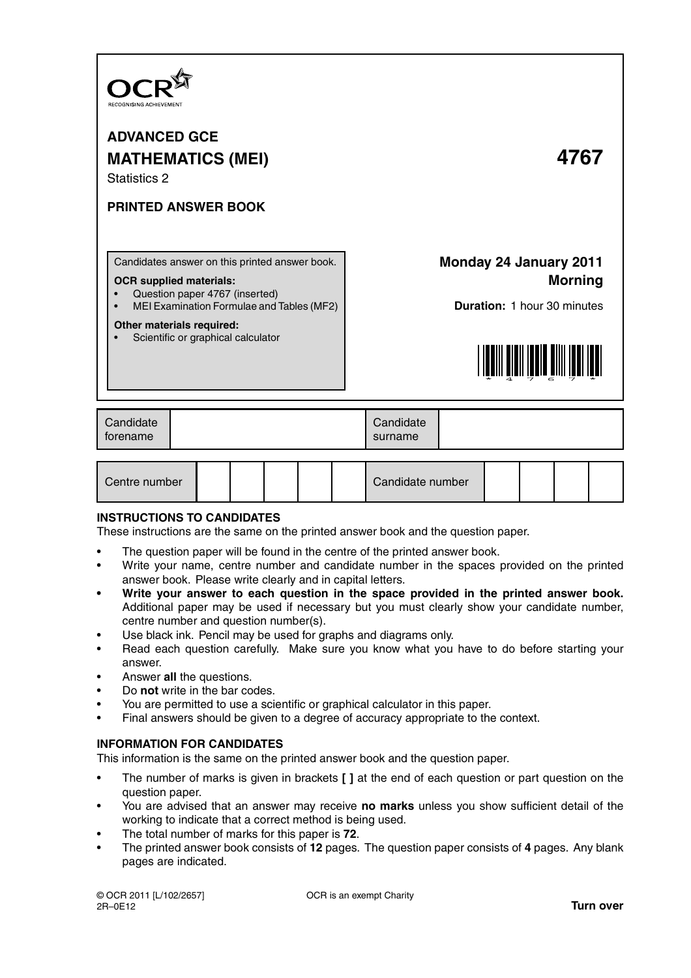

**ADVANCED GCE MATHEMATICS (MEI) 4767** Statistics 2

# **PRINTED ANSWER BOOK**

Candidates answer on this printed answer book.

### **OCR supplied materials:**

- Question paper 4767 (inserted)
- MEI Examination Formulae and Tables (MF2)

### **Other materials required:**

Scientific or graphical calculator

# **Monday 24 January 2011 Morning**

**Duration:** 1 hour 30 minutes



| Centre number |  |  |  |  |  | Candidate number |  |  |  |  |
|---------------|--|--|--|--|--|------------------|--|--|--|--|
|---------------|--|--|--|--|--|------------------|--|--|--|--|

# **INSTRUCTIONS TO CANDIDATES**

These instructions are the same on the printed answer book and the question paper.

- The question paper will be found in the centre of the printed answer book.
- Write your name, centre number and candidate number in the spaces provided on the printed answer book. Please write clearly and in capital letters.
- **Write your answer to each question in the space provided in the printed answer book.** Additional paper may be used if necessary but you must clearly show your candidate number, centre number and question number(s).
- Use black ink. Pencil may be used for graphs and diagrams only.
- Read each question carefully. Make sure you know what you have to do before starting your answer.
- Answer **all** the questions.
- Do **not** write in the bar codes.
- You are permitted to use a scientific or graphical calculator in this paper.
- Final answers should be given to a degree of accuracy appropriate to the context.

# **INFORMATION FOR CANDIDATES**

This information is the same on the printed answer book and the question paper.

- The number of marks is given in brackets **[ ]** at the end of each question or part question on the question paper.
- You are advised that an answer may receive **no marks** unless you show sufficient detail of the working to indicate that a correct method is being used.
- The total number of marks for this paper is **72**.
- The printed answer book consists of **12** pages. The question paper consists of **4** pages. Any blank pages are indicated.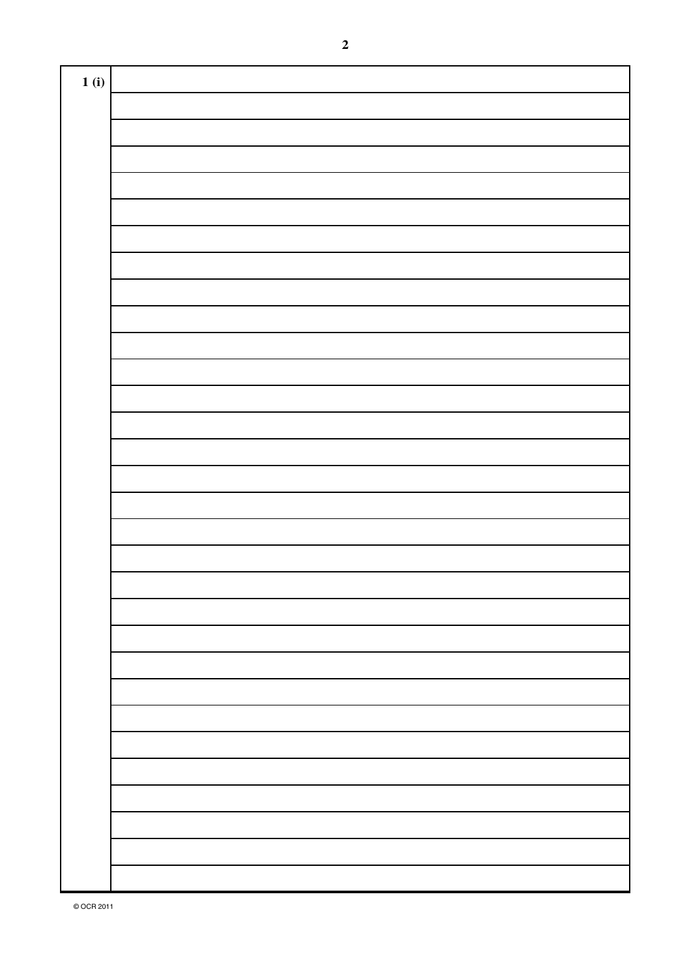| 1(i) |  |
|------|--|
|      |  |
|      |  |
|      |  |
|      |  |
|      |  |
|      |  |
|      |  |
|      |  |
|      |  |
|      |  |
|      |  |
|      |  |
|      |  |
|      |  |
|      |  |
|      |  |
|      |  |
|      |  |
|      |  |
|      |  |
|      |  |
|      |  |
|      |  |
|      |  |
|      |  |
|      |  |
|      |  |
|      |  |
|      |  |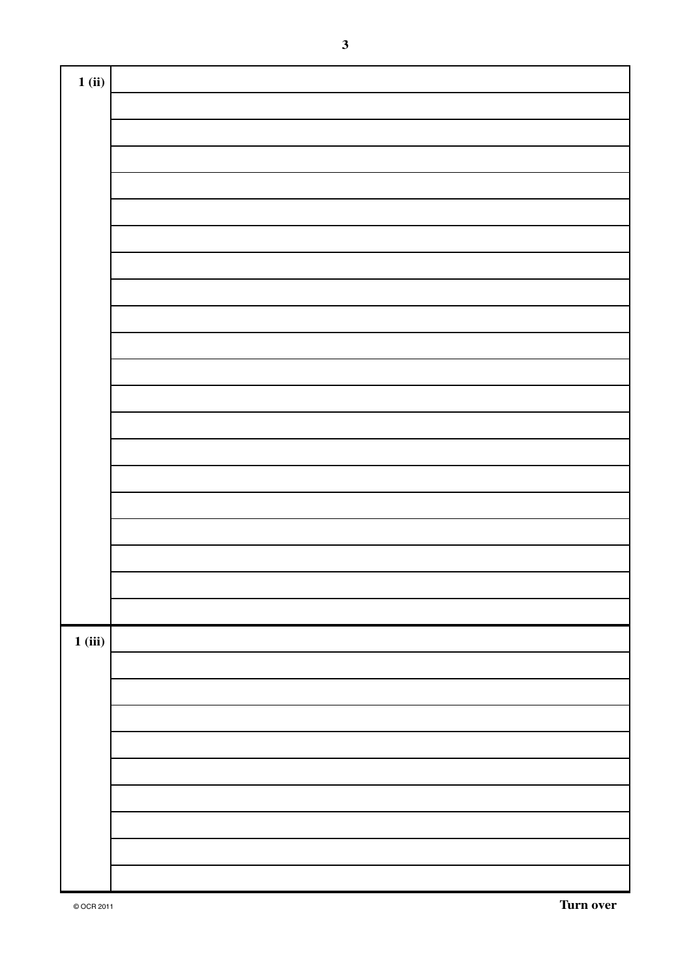| 1(i)   |  |
|--------|--|
|        |  |
|        |  |
|        |  |
|        |  |
|        |  |
|        |  |
|        |  |
|        |  |
|        |  |
|        |  |
|        |  |
|        |  |
|        |  |
|        |  |
|        |  |
|        |  |
|        |  |
|        |  |
|        |  |
|        |  |
|        |  |
| 1(iii) |  |
|        |  |
|        |  |
|        |  |
|        |  |
|        |  |
|        |  |
|        |  |
|        |  |
|        |  |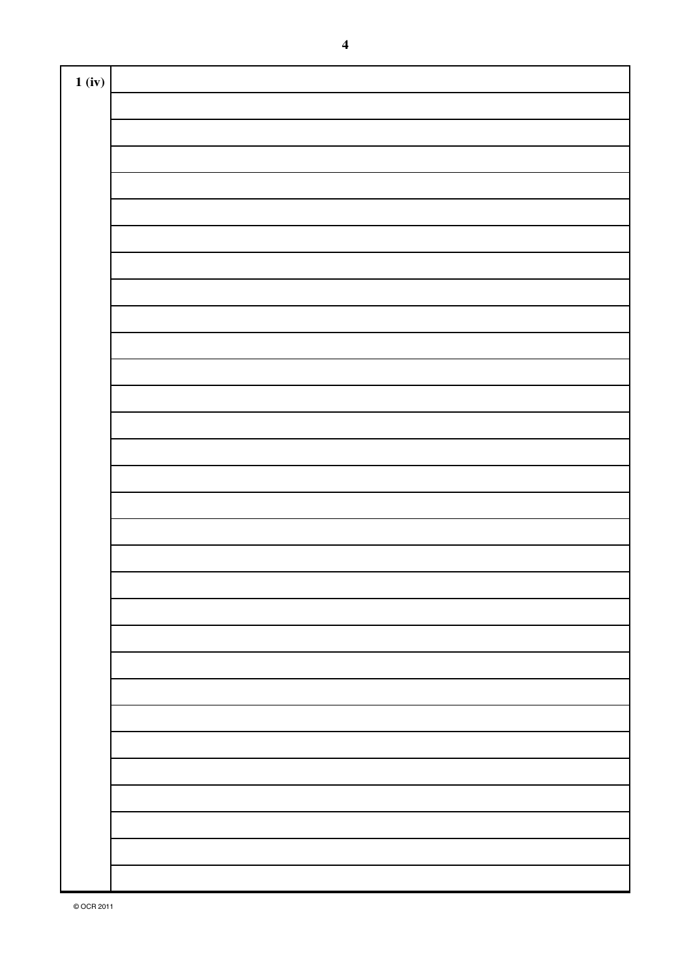| 1 (iv) |  |
|--------|--|
|        |  |
|        |  |
|        |  |
|        |  |
|        |  |
|        |  |
|        |  |
|        |  |
|        |  |
|        |  |
|        |  |
|        |  |
|        |  |
|        |  |
|        |  |
|        |  |
|        |  |
|        |  |
|        |  |
|        |  |
|        |  |
|        |  |
|        |  |
|        |  |
|        |  |
|        |  |
|        |  |
|        |  |
|        |  |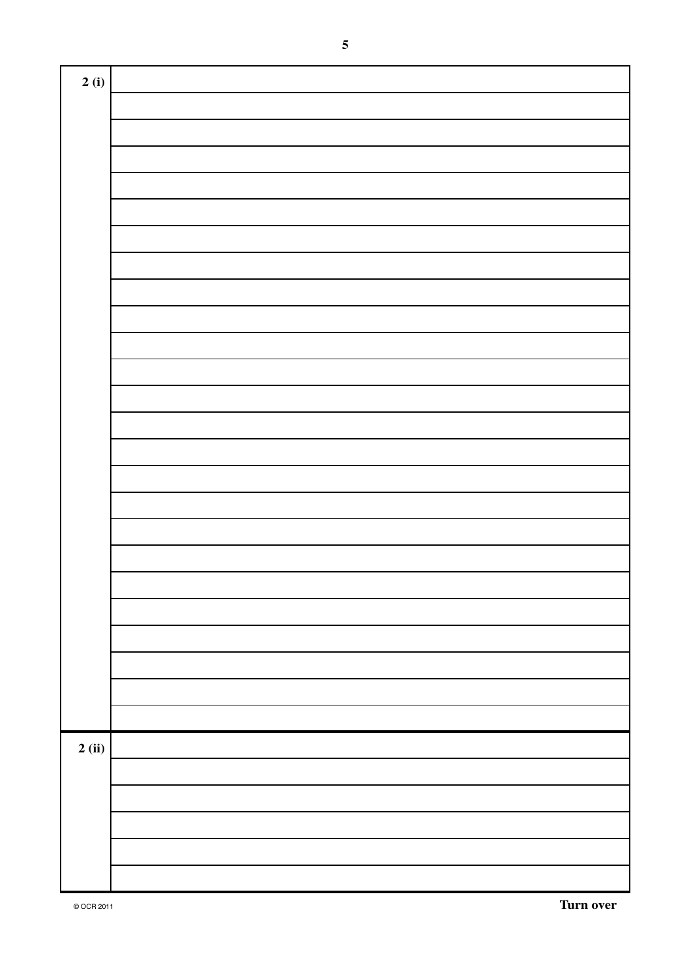| 2(i) |  |
|------|--|
|      |  |
|      |  |
|      |  |
|      |  |
|      |  |
|      |  |
|      |  |
|      |  |
|      |  |
|      |  |
|      |  |
|      |  |
|      |  |
|      |  |
|      |  |
|      |  |
|      |  |
|      |  |
|      |  |
|      |  |
|      |  |
|      |  |
|      |  |
|      |  |
| 2(i) |  |
|      |  |
|      |  |
|      |  |
|      |  |
|      |  |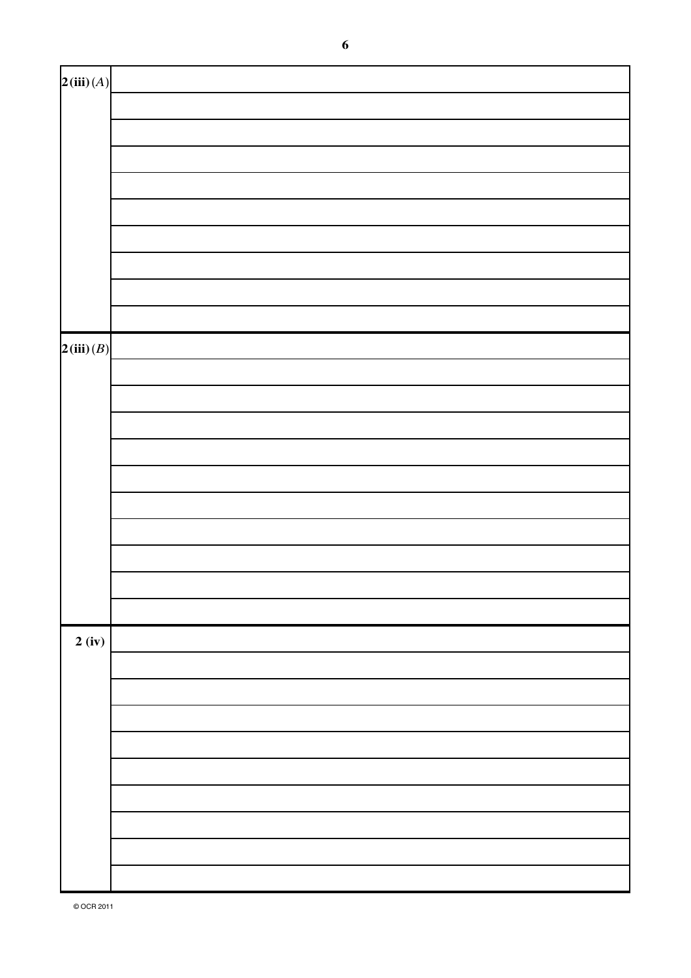| 2(iii)(A) |  |
|-----------|--|
|           |  |
|           |  |
|           |  |
|           |  |
|           |  |
|           |  |
|           |  |
|           |  |
|           |  |
| 2(iii)(B) |  |
|           |  |
|           |  |
|           |  |
|           |  |
|           |  |
|           |  |
|           |  |
|           |  |
|           |  |
|           |  |
| 2(iv)     |  |
|           |  |
|           |  |
|           |  |
|           |  |
|           |  |
|           |  |
|           |  |
|           |  |
|           |  |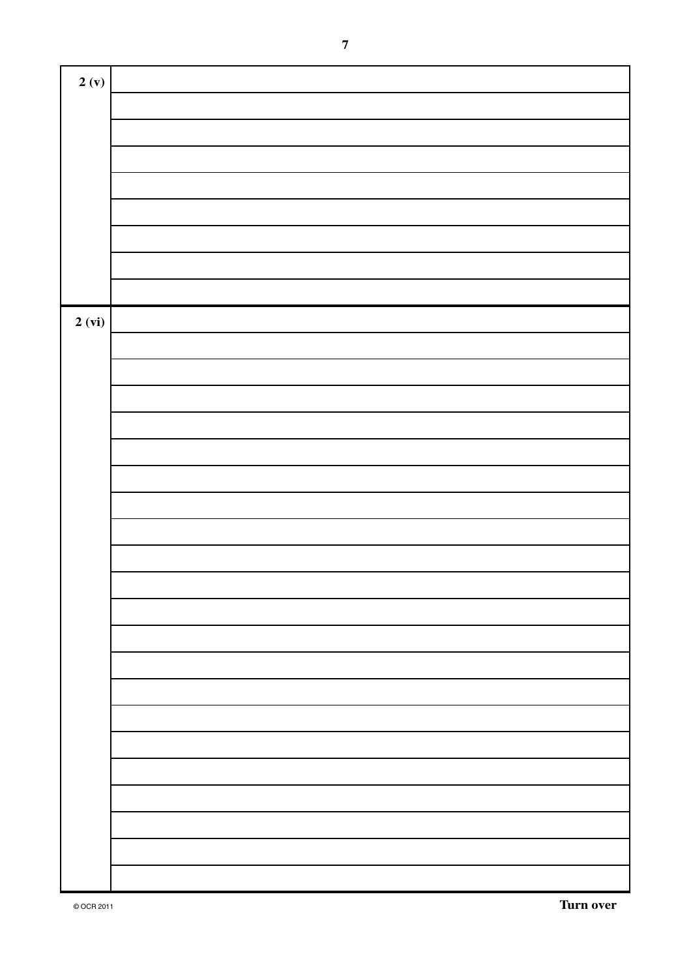| 2(y)   |  |
|--------|--|
|        |  |
|        |  |
|        |  |
|        |  |
|        |  |
|        |  |
|        |  |
|        |  |
|        |  |
| 2 (vi) |  |
|        |  |
|        |  |
|        |  |
|        |  |
|        |  |
|        |  |
|        |  |
|        |  |
|        |  |
|        |  |
|        |  |
|        |  |
|        |  |
|        |  |
|        |  |
|        |  |
|        |  |
|        |  |
|        |  |
|        |  |
|        |  |
|        |  |
|        |  |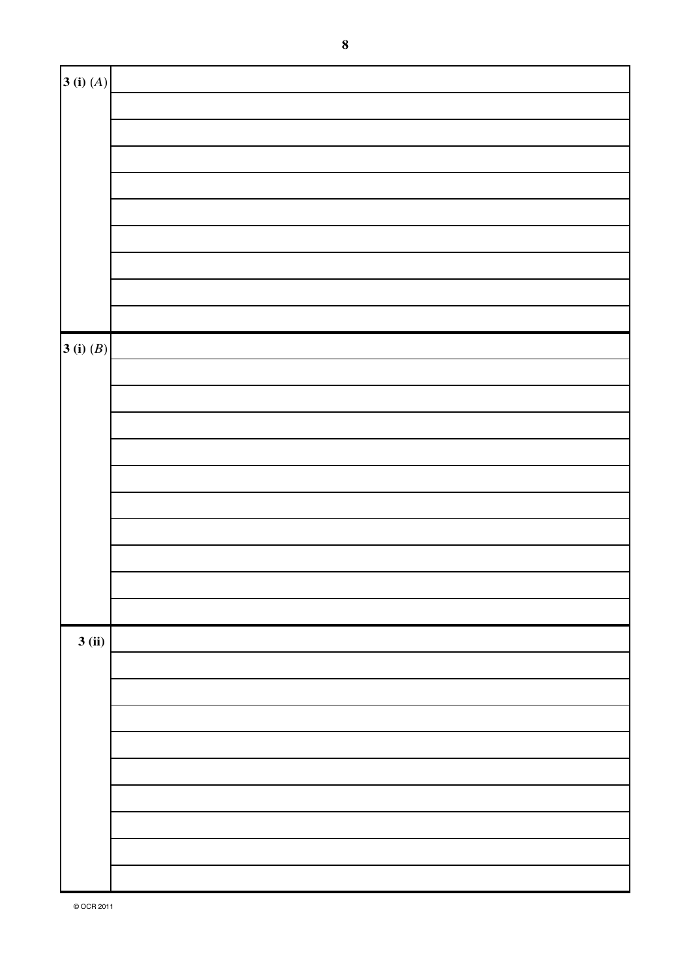| $\left  \mathbf{3}\left(\mathbf{i}\right)\left(A\right)\right $     |  |
|---------------------------------------------------------------------|--|
|                                                                     |  |
|                                                                     |  |
|                                                                     |  |
|                                                                     |  |
|                                                                     |  |
|                                                                     |  |
|                                                                     |  |
|                                                                     |  |
|                                                                     |  |
| $\left  \mathbf{3}\left( \mathbf{i}\right) \left( B\right) \right $ |  |
|                                                                     |  |
|                                                                     |  |
|                                                                     |  |
|                                                                     |  |
|                                                                     |  |
|                                                                     |  |
|                                                                     |  |
|                                                                     |  |
|                                                                     |  |
|                                                                     |  |
| 3(i)                                                                |  |
|                                                                     |  |
|                                                                     |  |
|                                                                     |  |
|                                                                     |  |
|                                                                     |  |
|                                                                     |  |
|                                                                     |  |
|                                                                     |  |
|                                                                     |  |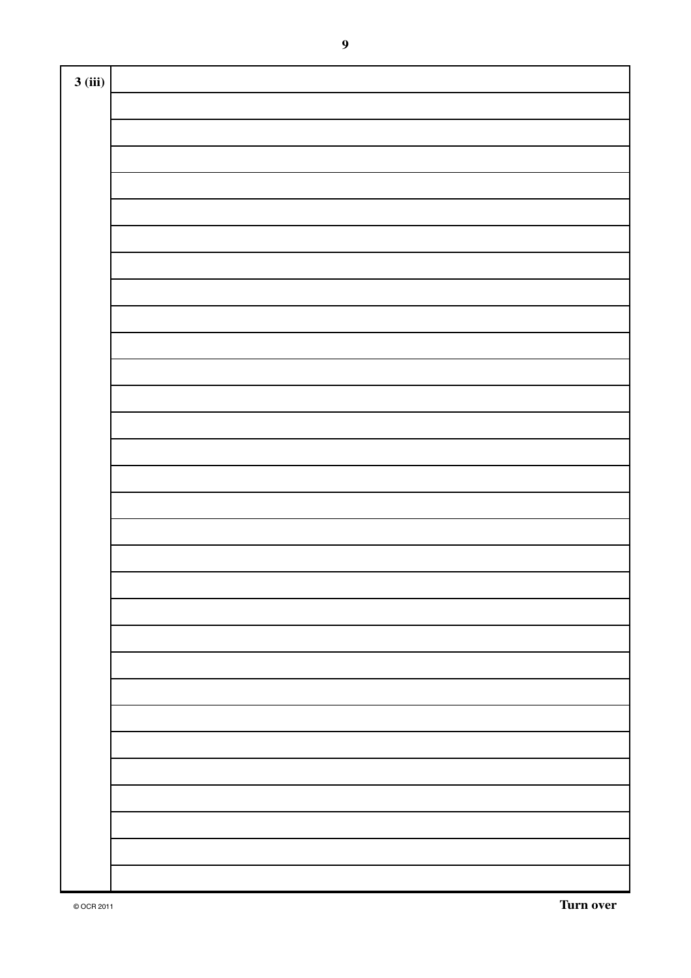| 3(iii) |  |
|--------|--|
|        |  |
|        |  |
|        |  |
|        |  |
|        |  |
|        |  |
|        |  |
|        |  |
|        |  |
|        |  |
|        |  |
|        |  |
|        |  |
|        |  |
|        |  |
|        |  |
|        |  |
|        |  |
|        |  |
|        |  |
|        |  |
|        |  |
|        |  |
|        |  |
|        |  |
|        |  |
|        |  |
|        |  |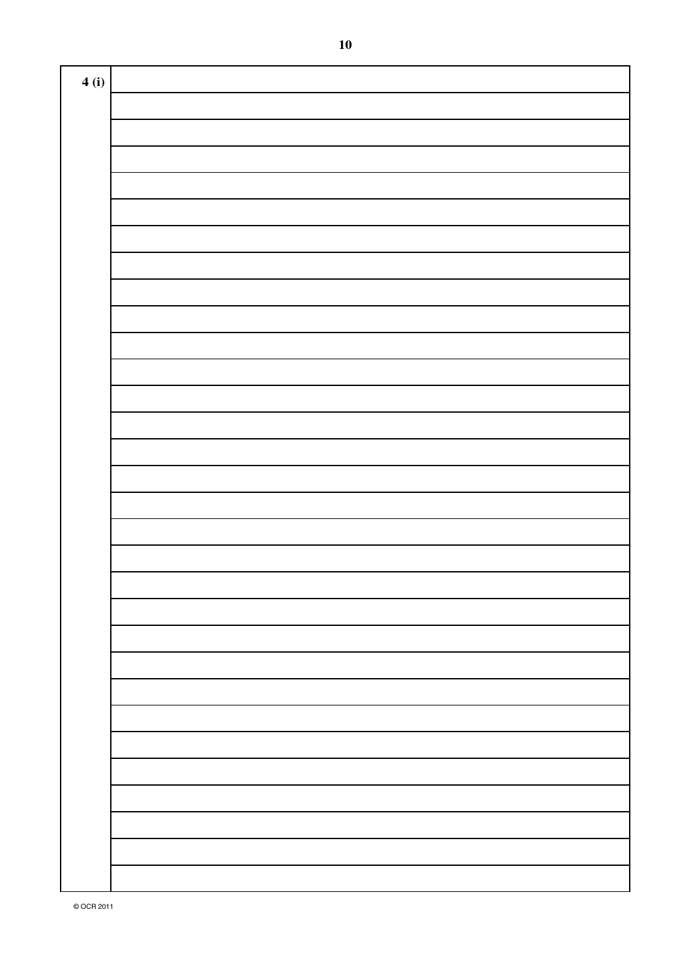| 4(i) |  |
|------|--|
|      |  |
|      |  |
|      |  |
|      |  |
|      |  |
|      |  |
|      |  |
|      |  |
|      |  |
|      |  |
|      |  |
|      |  |
|      |  |
|      |  |
|      |  |
|      |  |
|      |  |
|      |  |
|      |  |
|      |  |
|      |  |
|      |  |
|      |  |
|      |  |
|      |  |
|      |  |
|      |  |
|      |  |
|      |  |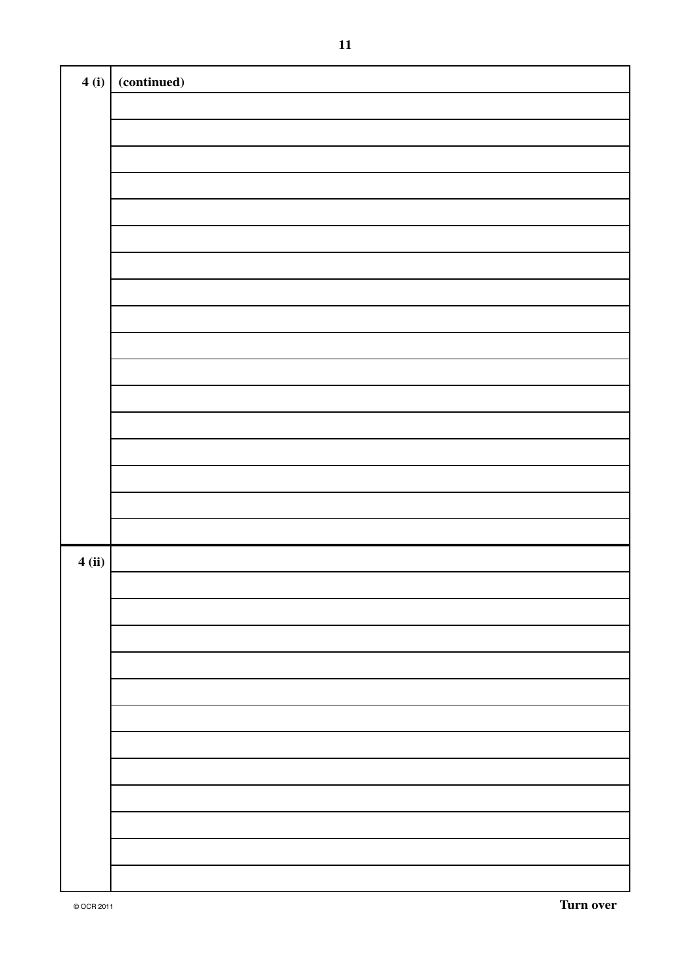| 4(i)  | (continued) |
|-------|-------------|
|       |             |
|       |             |
|       |             |
|       |             |
|       |             |
|       |             |
|       |             |
|       |             |
|       |             |
|       |             |
|       |             |
|       |             |
|       |             |
|       |             |
|       |             |
|       |             |
|       |             |
| 4(ii) |             |
|       |             |
|       |             |
|       |             |
|       |             |
|       |             |
|       |             |
|       |             |
|       |             |
|       |             |
|       |             |
|       |             |
|       |             |